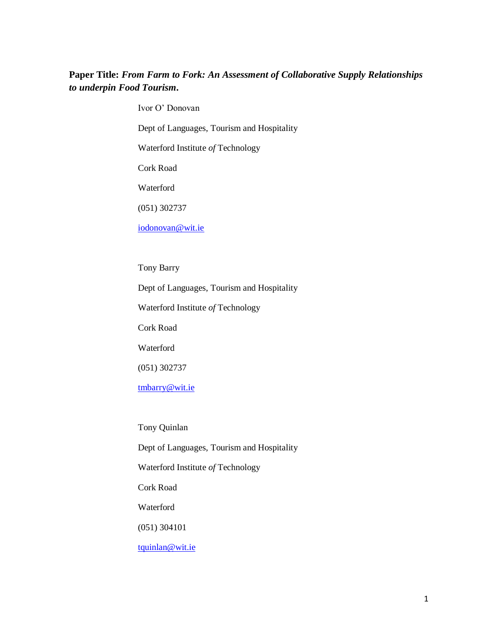## **Paper Title:** *From Farm to Fork: An Assessment of Collaborative Supply Relationships to underpin Food Tourism***.**

Ivor O' Donovan

Dept of Languages, Tourism and Hospitality

Waterford Institute *of* Technology

Cork Road

Waterford

(051) 302737

[iodonovan@wit.ie](mailto:iodonovan@wit.ie)

Tony Barry

Dept of Languages, Tourism and Hospitality

Waterford Institute *of* Technology

Cork Road

Waterford

(051) 302737

[tmbarry@wit.ie](mailto:tmbarry@wit.ie)

Tony Quinlan

Dept of Languages, Tourism and Hospitality

Waterford Institute *of* Technology

Cork Road

Waterford

(051) 304101

[tquinlan@wit.ie](mailto:tquinlan@wit.ie)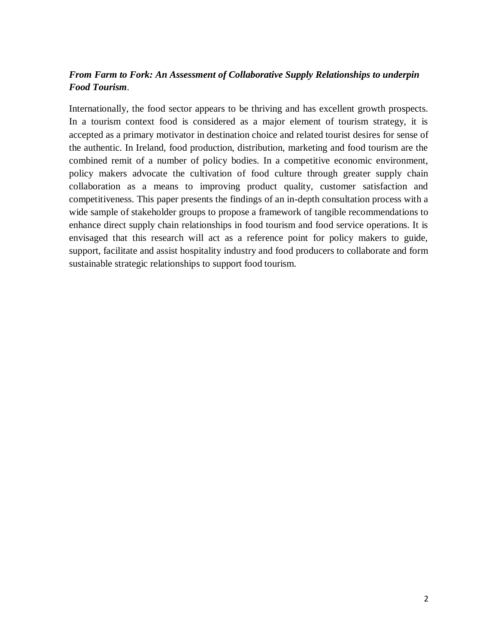# *From Farm to Fork: An Assessment of Collaborative Supply Relationships to underpin Food Tourism*.

Internationally, the food sector appears to be thriving and has excellent growth prospects. In a tourism context food is considered as a major element of tourism strategy, it is accepted as a primary motivator in destination choice and related tourist desires for sense of the authentic. In Ireland, food production, distribution, marketing and food tourism are the combined remit of a number of policy bodies. In a competitive economic environment, policy makers advocate the cultivation of food culture through greater supply chain collaboration as a means to improving product quality, customer satisfaction and competitiveness. This paper presents the findings of an in-depth consultation process with a wide sample of stakeholder groups to propose a framework of tangible recommendations to enhance direct supply chain relationships in food tourism and food service operations. It is envisaged that this research will act as a reference point for policy makers to guide, support, facilitate and assist hospitality industry and food producers to collaborate and form sustainable strategic relationships to support food tourism.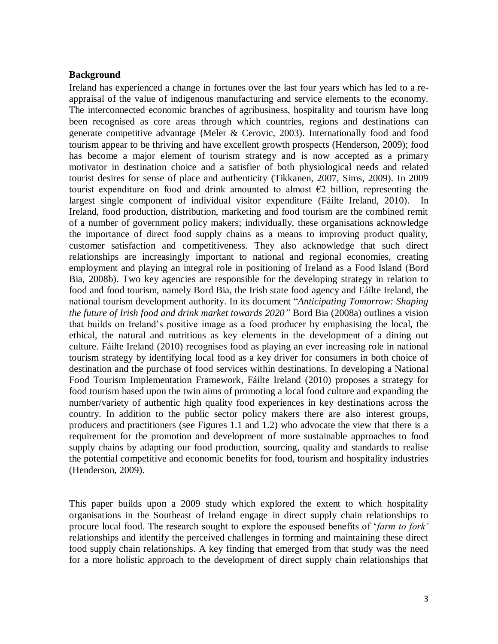#### **Background**

Ireland has experienced a change in fortunes over the last four years which has led to a reappraisal of the value of indigenous manufacturing and service elements to the economy. The interconnected economic branches of agribusiness, hospitality and tourism have long been recognised as core areas through which countries, regions and destinations can generate competitive advantage (Meler & Cerovic, 2003). Internationally food and food tourism appear to be thriving and have excellent growth prospects (Henderson, 2009); food has become a major element of tourism strategy and is now accepted as a primary motivator in destination choice and a satisfier of both physiological needs and related tourist desires for sense of place and authenticity (Tikkanen, 2007, Sims, 2009). In 2009 tourist expenditure on food and drink amounted to almost  $\epsilon$ 2 billion, representing the largest single component of individual visitor expenditure (Fáilte Ireland, 2010). In Ireland, food production, distribution, marketing and food tourism are the combined remit of a number of government policy makers; individually, these organisations acknowledge the importance of direct food supply chains as a means to improving product quality, customer satisfaction and competitiveness. They also acknowledge that such direct relationships are increasingly important to national and regional economies, creating employment and playing an integral role in positioning of Ireland as a Food Island (Bord Bia, 2008b). Two key agencies are responsible for the developing strategy in relation to food and food tourism, namely Bord Bia, the Irish state food agency and Fáilte Ireland, the national tourism development authority. In its document "*Anticipating Tomorrow: Shaping the future of Irish food and drink market towards 2020"* Bord Bia (2008a) outlines a vision that builds on Ireland's positive image as a food producer by emphasising the local, the ethical, the natural and nutritious as key elements in the development of a dining out culture. Fáilte Ireland (2010) recognises food as playing an ever increasing role in national tourism strategy by identifying local food as a key driver for consumers in both choice of destination and the purchase of food services within destinations. In developing a National Food Tourism Implementation Framework, Fáilte Ireland (2010) proposes a strategy for food tourism based upon the twin aims of promoting a local food culture and expanding the number/variety of authentic high quality food experiences in key destinations across the country. In addition to the public sector policy makers there are also interest groups, producers and practitioners (see Figures 1.1 and 1.2) who advocate the view that there is a requirement for the promotion and development of more sustainable approaches to food supply chains by adapting our food production, sourcing, quality and standards to realise the potential competitive and economic benefits for food, tourism and hospitality industries (Henderson, 2009).

This paper builds upon a 2009 study which explored the extent to which hospitality organisations in the Southeast of Ireland engage in direct supply chain relationships to procure local food. The research sought to explore the espoused benefits of '*farm to fork'* relationships and identify the perceived challenges in forming and maintaining these direct food supply chain relationships. A key finding that emerged from that study was the need for a more holistic approach to the development of direct supply chain relationships that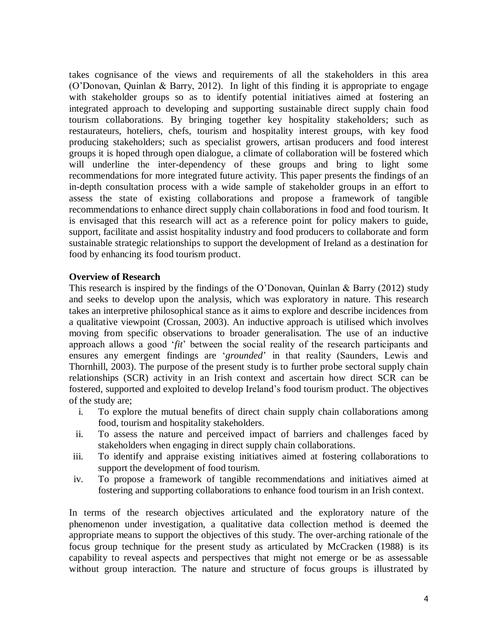takes cognisance of the views and requirements of all the stakeholders in this area (O'Donovan, Quinlan & Barry, 2012). In light of this finding it is appropriate to engage with stakeholder groups so as to identify potential initiatives aimed at fostering an integrated approach to developing and supporting sustainable direct supply chain food tourism collaborations. By bringing together key hospitality stakeholders; such as restaurateurs, hoteliers, chefs, tourism and hospitality interest groups, with key food producing stakeholders; such as specialist growers, artisan producers and food interest groups it is hoped through open dialogue, a climate of collaboration will be fostered which will underline the inter-dependency of these groups and bring to light some recommendations for more integrated future activity. This paper presents the findings of an in-depth consultation process with a wide sample of stakeholder groups in an effort to assess the state of existing collaborations and propose a framework of tangible recommendations to enhance direct supply chain collaborations in food and food tourism. It is envisaged that this research will act as a reference point for policy makers to guide, support, facilitate and assist hospitality industry and food producers to collaborate and form sustainable strategic relationships to support the development of Ireland as a destination for food by enhancing its food tourism product.

### **Overview of Research**

This research is inspired by the findings of the O'Donovan, Quinlan & Barry (2012) study and seeks to develop upon the analysis, which was exploratory in nature. This research takes an interpretive philosophical stance as it aims to explore and describe incidences from a qualitative viewpoint (Crossan, 2003). An inductive approach is utilised which involves moving from specific observations to broader generalisation. The use of an inductive approach allows a good '*fit*' between the social reality of the research participants and ensures any emergent findings are '*grounded*' in that reality (Saunders, Lewis and Thornhill, 2003). The purpose of the present study is to further probe sectoral supply chain relationships (SCR) activity in an Irish context and ascertain how direct SCR can be fostered, supported and exploited to develop Ireland's food tourism product. The objectives of the study are;

- i. To explore the mutual benefits of direct chain supply chain collaborations among food, tourism and hospitality stakeholders.
- ii. To assess the nature and perceived impact of barriers and challenges faced by stakeholders when engaging in direct supply chain collaborations.
- iii. To identify and appraise existing initiatives aimed at fostering collaborations to support the development of food tourism.
- iv. To propose a framework of tangible recommendations and initiatives aimed at fostering and supporting collaborations to enhance food tourism in an Irish context.

In terms of the research objectives articulated and the exploratory nature of the phenomenon under investigation, a qualitative data collection method is deemed the appropriate means to support the objectives of this study. The over-arching rationale of the focus group technique for the present study as articulated by McCracken (1988) is its capability to reveal aspects and perspectives that might not emerge or be as assessable without group interaction. The nature and structure of focus groups is illustrated by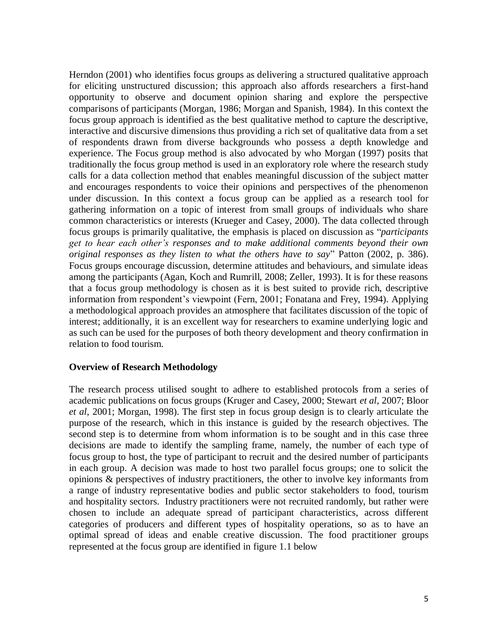Herndon (2001) who identifies focus groups as delivering a structured qualitative approach for eliciting unstructured discussion; this approach also affords researchers a first-hand opportunity to observe and document opinion sharing and explore the perspective comparisons of participants (Morgan, 1986; Morgan and Spanish, 1984). In this context the focus group approach is identified as the best qualitative method to capture the descriptive, interactive and discursive dimensions thus providing a rich set of qualitative data from a set of respondents drawn from diverse backgrounds who possess a depth knowledge and experience. The Focus group method is also advocated by who Morgan (1997) posits that traditionally the focus group method is used in an exploratory role where the research study calls for a data collection method that enables meaningful discussion of the subject matter and encourages respondents to voice their opinions and perspectives of the phenomenon under discussion. In this context a focus group can be applied as a research tool for gathering information on a topic of interest from small groups of individuals who share common characteristics or interests (Krueger and Casey, 2000). The data collected through focus groups is primarily qualitative, the emphasis is placed on discussion as "*participants get to hear each other's responses and to make additional comments beyond their own original responses as they listen to what the others have to say*" Patton (2002, p. 386). Focus groups encourage discussion, determine attitudes and behaviours, and simulate ideas among the participants (Agan, Koch and Rumrill, 2008; Zeller, 1993). It is for these reasons that a focus group methodology is chosen as it is best suited to provide rich, descriptive information from respondent's viewpoint (Fern, 2001; Fonatana and Frey, 1994). Applying a methodological approach provides an atmosphere that facilitates discussion of the topic of interest; additionally, it is an excellent way for researchers to examine underlying logic and as such can be used for the purposes of both theory development and theory confirmation in relation to food tourism.

### **Overview of Research Methodology**

The research process utilised sought to adhere to established protocols from a series of academic publications on focus groups (Kruger and Casey, 2000; Stewart *et al*, 2007; Bloor *et al*, 2001; Morgan, 1998). The first step in focus group design is to clearly articulate the purpose of the research, which in this instance is guided by the research objectives. The second step is to determine from whom information is to be sought and in this case three decisions are made to identify the sampling frame, namely, the number of each type of focus group to host, the type of participant to recruit and the desired number of participants in each group. A decision was made to host two parallel focus groups; one to solicit the opinions & perspectives of industry practitioners, the other to involve key informants from a range of industry representative bodies and public sector stakeholders to food, tourism and hospitality sectors. Industry practitioners were not recruited randomly, but rather were chosen to include an adequate spread of participant characteristics, across different categories of producers and different types of hospitality operations, so as to have an optimal spread of ideas and enable creative discussion. The food practitioner groups represented at the focus group are identified in figure 1.1 below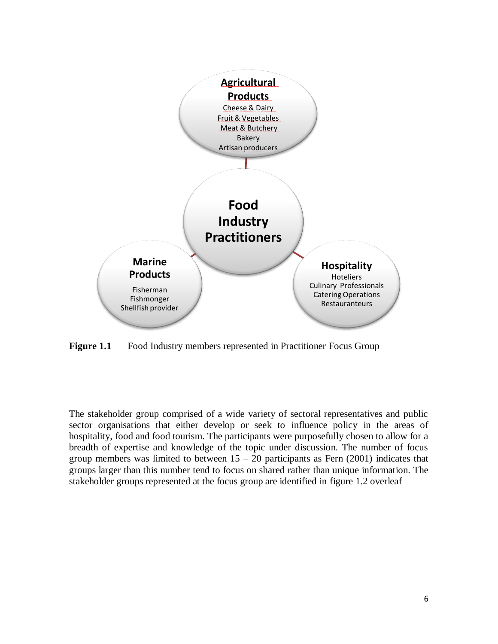

**Figure 1.1** Food Industry members represented in Practitioner Focus Group

The stakeholder group comprised of a wide variety of sectoral representatives and public sector organisations that either develop or seek to influence policy in the areas of hospitality, food and food tourism. The participants were purposefully chosen to allow for a breadth of expertise and knowledge of the topic under discussion. The number of focus group members was limited to between  $15 - 20$  participants as Fern (2001) indicates that groups larger than this number tend to focus on shared rather than unique information. The stakeholder groups represented at the focus group are identified in figure 1.2 overleaf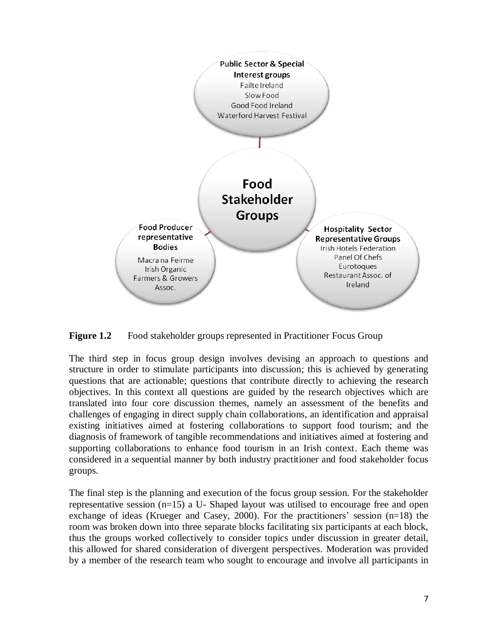

**Figure 1.2** Food stakeholder groups represented in Practitioner Focus Group

The third step in focus group design involves devising an approach to questions and structure in order to stimulate participants into discussion; this is achieved by generating questions that are actionable; questions that contribute directly to achieving the research objectives. In this context all questions are guided by the research objectives which are translated into four core discussion themes, namely an assessment of the benefits and challenges of engaging in direct supply chain collaborations, an identification and appraisal existing initiatives aimed at fostering collaborations to support food tourism; and the diagnosis of framework of tangible recommendations and initiatives aimed at fostering and supporting collaborations to enhance food tourism in an Irish context. Each theme was considered in a sequential manner by both industry practitioner and food stakeholder focus groups.

The final step is the planning and execution of the focus group session. For the stakeholder representative session (n=15) a U- Shaped layout was utilised to encourage free and open exchange of ideas (Krueger and Casey, 2000). For the practitioners' session (n=18) the room was broken down into three separate blocks facilitating six participants at each block, thus the groups worked collectively to consider topics under discussion in greater detail, this allowed for shared consideration of divergent perspectives. Moderation was provided by a member of the research team who sought to encourage and involve all participants in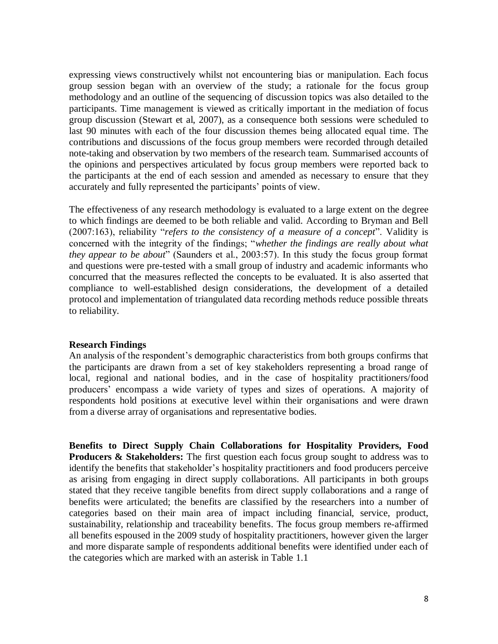expressing views constructively whilst not encountering bias or manipulation. Each focus group session began with an overview of the study; a rationale for the focus group methodology and an outline of the sequencing of discussion topics was also detailed to the participants. Time management is viewed as critically important in the mediation of focus group discussion (Stewart et al, 2007), as a consequence both sessions were scheduled to last 90 minutes with each of the four discussion themes being allocated equal time. The contributions and discussions of the focus group members were recorded through detailed note-taking and observation by two members of the research team. Summarised accounts of the opinions and perspectives articulated by focus group members were reported back to the participants at the end of each session and amended as necessary to ensure that they accurately and fully represented the participants' points of view.

The effectiveness of any research methodology is evaluated to a large extent on the degree to which findings are deemed to be both reliable and valid. According to Bryman and Bell (2007:163), reliability "*refers to the consistency of a measure of a concept*". Validity is concerned with the integrity of the findings; "*whether the findings are really about what they appear to be about*" (Saunders et al., 2003:57). In this study the focus group format and questions were pre-tested with a small group of industry and academic informants who concurred that the measures reflected the concepts to be evaluated. It is also asserted that compliance to well-established design considerations, the development of a detailed protocol and implementation of triangulated data recording methods reduce possible threats to reliability.

#### **Research Findings**

An analysis of the respondent's demographic characteristics from both groups confirms that the participants are drawn from a set of key stakeholders representing a broad range of local, regional and national bodies, and in the case of hospitality practitioners/food producers' encompass a wide variety of types and sizes of operations. A majority of respondents hold positions at executive level within their organisations and were drawn from a diverse array of organisations and representative bodies.

**Benefits to Direct Supply Chain Collaborations for Hospitality Providers, Food Producers & Stakeholders:** The first question each focus group sought to address was to identify the benefits that stakeholder's hospitality practitioners and food producers perceive as arising from engaging in direct supply collaborations. All participants in both groups stated that they receive tangible benefits from direct supply collaborations and a range of benefits were articulated; the benefits are classified by the researchers into a number of categories based on their main area of impact including financial, service, product, sustainability, relationship and traceability benefits. The focus group members re-affirmed all benefits espoused in the 2009 study of hospitality practitioners, however given the larger and more disparate sample of respondents additional benefits were identified under each of the categories which are marked with an asterisk in Table 1.1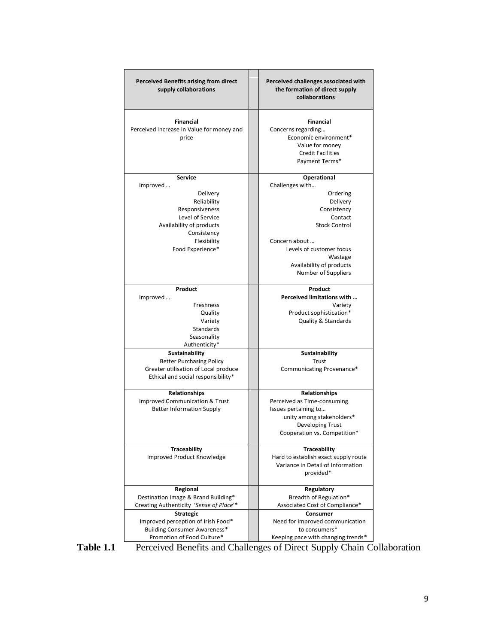| <b>Perceived Benefits arising from direct</b><br>supply collaborations                                                                                                    | Perceived challenges associated with<br>the formation of direct supply<br>collaborations                                                                                                                                          |  |
|---------------------------------------------------------------------------------------------------------------------------------------------------------------------------|-----------------------------------------------------------------------------------------------------------------------------------------------------------------------------------------------------------------------------------|--|
| <b>Financial</b><br>Perceived increase in Value for money and<br>price                                                                                                    | <b>Financial</b><br>Concerns regarding<br>Economic environment*<br>Value for money<br><b>Credit Facilities</b><br>Payment Terms*                                                                                                  |  |
| <b>Service</b><br>Improved<br>Delivery<br>Reliability<br>Responsiveness<br>Level of Service<br>Availability of products<br>Consistency<br>Flexibility<br>Food Experience* | <b>Operational</b><br>Challenges with<br>Ordering<br>Delivery<br>Consistency<br>Contact<br><b>Stock Control</b><br>Concern about<br>Levels of customer focus<br>Wastage<br>Availability of products<br><b>Number of Suppliers</b> |  |
| Product<br>Improved<br>Freshness<br>Quality<br>Variety<br><b>Standards</b><br>Seasonality<br>Authenticity*                                                                | Product<br>Perceived limitations with<br>Variety<br>Product sophistication*<br><b>Quality &amp; Standards</b>                                                                                                                     |  |
| <b>Sustainability</b><br><b>Better Purchasing Policy</b><br>Greater utilisation of Local produce<br>Ethical and social responsibility*                                    | <b>Sustainability</b><br>Trust<br>Communicating Provenance*                                                                                                                                                                       |  |
| <b>Relationships</b><br><b>Improved Communication &amp; Trust</b><br><b>Better Information Supply</b>                                                                     | Relationships<br>Perceived as Time-consuming<br>Issues pertaining to<br>unity among stakeholders*<br>Developing Trust<br>Cooperation vs. Competition*                                                                             |  |
| <b>Traceability</b><br>Improved Product Knowledge                                                                                                                         | <b>Traceability</b><br>Hard to establish exact supply route<br>Variance in Detail of Information<br>provided*                                                                                                                     |  |
| Regional<br>Destination Image & Brand Building*<br>Creating Authenticity 'Sense of Place'*<br><b>Strategic</b>                                                            | Regulatory<br>Breadth of Regulation*<br>Associated Cost of Compliance*<br>Consumer                                                                                                                                                |  |
| Improved perception of Irish Food*<br><b>Building Consumer Awareness*</b><br>Promotion of Food Culture*                                                                   | Need for improved communication<br>to consumers*<br>Keeping pace with changing trends*                                                                                                                                            |  |



Table 1.1 Perceived Benefits and Challenges of Direct Supply Chain Collaboration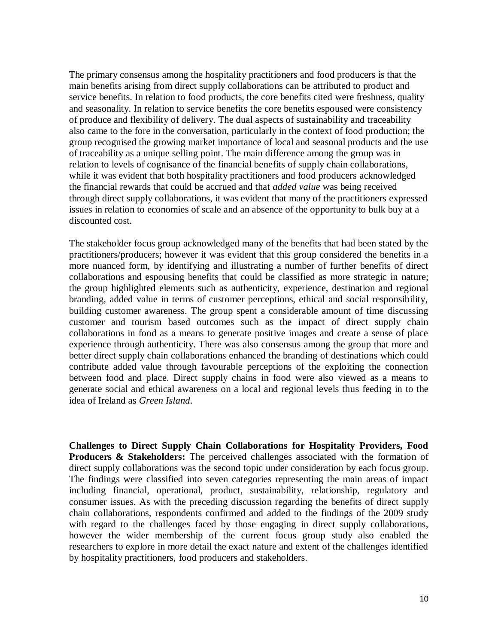The primary consensus among the hospitality practitioners and food producers is that the main benefits arising from direct supply collaborations can be attributed to product and service benefits. In relation to food products, the core benefits cited were freshness, quality and seasonality. In relation to service benefits the core benefits espoused were consistency of produce and flexibility of delivery. The dual aspects of sustainability and traceability also came to the fore in the conversation, particularly in the context of food production; the group recognised the growing market importance of local and seasonal products and the use of traceability as a unique selling point. The main difference among the group was in relation to levels of cognisance of the financial benefits of supply chain collaborations, while it was evident that both hospitality practitioners and food producers acknowledged the financial rewards that could be accrued and that *added value* was being received through direct supply collaborations, it was evident that many of the practitioners expressed issues in relation to economies of scale and an absence of the opportunity to bulk buy at a discounted cost.

The stakeholder focus group acknowledged many of the benefits that had been stated by the practitioners/producers; however it was evident that this group considered the benefits in a more nuanced form, by identifying and illustrating a number of further benefits of direct collaborations and espousing benefits that could be classified as more strategic in nature; the group highlighted elements such as authenticity, experience, destination and regional branding, added value in terms of customer perceptions, ethical and social responsibility, building customer awareness. The group spent a considerable amount of time discussing customer and tourism based outcomes such as the impact of direct supply chain collaborations in food as a means to generate positive images and create a sense of place experience through authenticity. There was also consensus among the group that more and better direct supply chain collaborations enhanced the branding of destinations which could contribute added value through favourable perceptions of the exploiting the connection between food and place. Direct supply chains in food were also viewed as a means to generate social and ethical awareness on a local and regional levels thus feeding in to the idea of Ireland as *Green Island*.

**Challenges to Direct Supply Chain Collaborations for Hospitality Providers, Food Producers & Stakeholders:** The perceived challenges associated with the formation of direct supply collaborations was the second topic under consideration by each focus group. The findings were classified into seven categories representing the main areas of impact including financial, operational, product, sustainability, relationship, regulatory and consumer issues. As with the preceding discussion regarding the benefits of direct supply chain collaborations, respondents confirmed and added to the findings of the 2009 study with regard to the challenges faced by those engaging in direct supply collaborations, however the wider membership of the current focus group study also enabled the researchers to explore in more detail the exact nature and extent of the challenges identified by hospitality practitioners, food producers and stakeholders.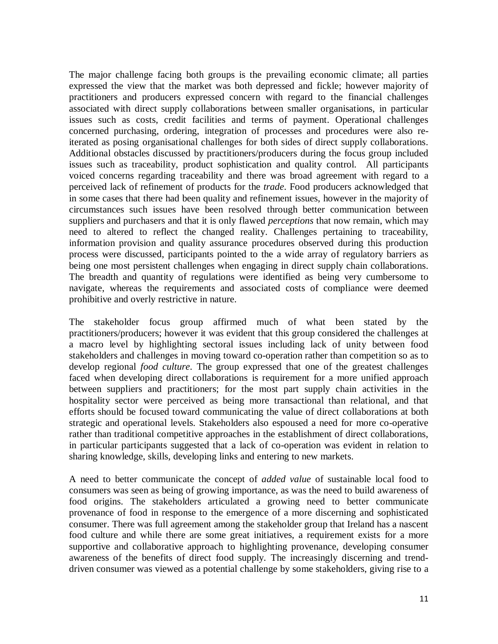The major challenge facing both groups is the prevailing economic climate; all parties expressed the view that the market was both depressed and fickle; however majority of practitioners and producers expressed concern with regard to the financial challenges associated with direct supply collaborations between smaller organisations, in particular issues such as costs, credit facilities and terms of payment. Operational challenges concerned purchasing, ordering, integration of processes and procedures were also reiterated as posing organisational challenges for both sides of direct supply collaborations. Additional obstacles discussed by practitioners/producers during the focus group included issues such as traceability, product sophistication and quality control. All participants voiced concerns regarding traceability and there was broad agreement with regard to a perceived lack of refinement of products for the *trade*. Food producers acknowledged that in some cases that there had been quality and refinement issues, however in the majority of circumstances such issues have been resolved through better communication between suppliers and purchasers and that it is only flawed *perceptions* that now remain, which may need to altered to reflect the changed reality. Challenges pertaining to traceability, information provision and quality assurance procedures observed during this production process were discussed, participants pointed to the a wide array of regulatory barriers as being one most persistent challenges when engaging in direct supply chain collaborations. The breadth and quantity of regulations were identified as being very cumbersome to navigate, whereas the requirements and associated costs of compliance were deemed prohibitive and overly restrictive in nature.

The stakeholder focus group affirmed much of what been stated by the practitioners/producers; however it was evident that this group considered the challenges at a macro level by highlighting sectoral issues including lack of unity between food stakeholders and challenges in moving toward co-operation rather than competition so as to develop regional *food culture*. The group expressed that one of the greatest challenges faced when developing direct collaborations is requirement for a more unified approach between suppliers and practitioners; for the most part supply chain activities in the hospitality sector were perceived as being more transactional than relational, and that efforts should be focused toward communicating the value of direct collaborations at both strategic and operational levels. Stakeholders also espoused a need for more co-operative rather than traditional competitive approaches in the establishment of direct collaborations, in particular participants suggested that a lack of co-operation was evident in relation to sharing knowledge, skills, developing links and entering to new markets.

A need to better communicate the concept of *added value* of sustainable local food to consumers was seen as being of growing importance, as was the need to build awareness of food origins. The stakeholders articulated a growing need to better communicate provenance of food in response to the emergence of a more discerning and sophisticated consumer. There was full agreement among the stakeholder group that Ireland has a nascent food culture and while there are some great initiatives, a requirement exists for a more supportive and collaborative approach to highlighting provenance, developing consumer awareness of the benefits of direct food supply. The increasingly discerning and trenddriven consumer was viewed as a potential challenge by some stakeholders, giving rise to a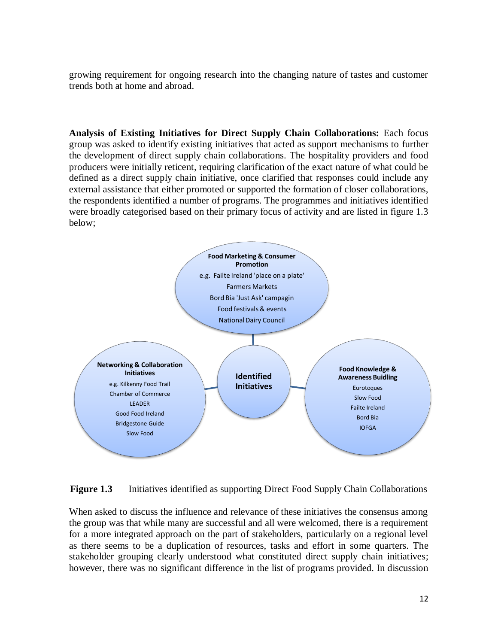growing requirement for ongoing research into the changing nature of tastes and customer trends both at home and abroad.

**Analysis of Existing Initiatives for Direct Supply Chain Collaborations:** Each focus group was asked to identify existing initiatives that acted as support mechanisms to further the development of direct supply chain collaborations. The hospitality providers and food producers were initially reticent, requiring clarification of the exact nature of what could be defined as a direct supply chain initiative, once clarified that responses could include any external assistance that either promoted or supported the formation of closer collaborations, the respondents identified a number of programs. The programmes and initiatives identified were broadly categorised based on their primary focus of activity and are listed in figure 1.3 below;



**Figure 1.3** Initiatives identified as supporting Direct Food Supply Chain Collaborations

When asked to discuss the influence and relevance of these initiatives the consensus among the group was that while many are successful and all were welcomed, there is a requirement for a more integrated approach on the part of stakeholders, particularly on a regional level as there seems to be a duplication of resources, tasks and effort in some quarters. The stakeholder grouping clearly understood what constituted direct supply chain initiatives; however, there was no significant difference in the list of programs provided. In discussion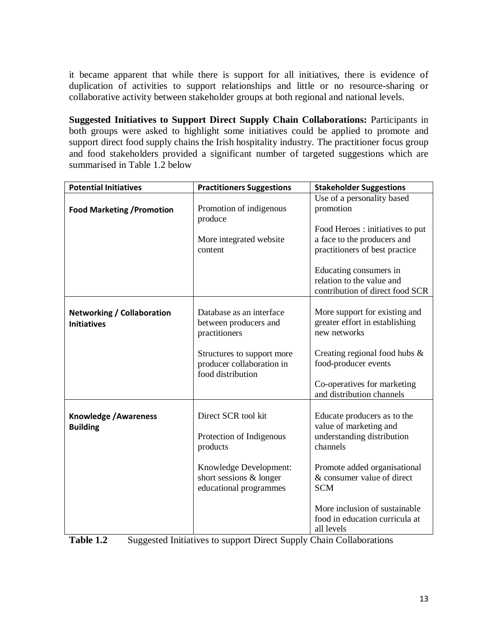it became apparent that while there is support for all initiatives, there is evidence of duplication of activities to support relationships and little or no resource-sharing or collaborative activity between stakeholder groups at both regional and national levels.

**Suggested Initiatives to Support Direct Supply Chain Collaborations:** Participants in both groups were asked to highlight some initiatives could be applied to promote and support direct food supply chains the Irish hospitality industry. The practitioner focus group and food stakeholders provided a significant number of targeted suggestions which are summarised in Table 1.2 below

| <b>Potential Initiatives</b>                            | <b>Practitioners Suggestions</b>                                                      | <b>Stakeholder Suggestions</b>                                                                                                                                |  |
|---------------------------------------------------------|---------------------------------------------------------------------------------------|---------------------------------------------------------------------------------------------------------------------------------------------------------------|--|
| <b>Food Marketing / Promotion</b>                       | Promotion of indigenous<br>produce                                                    | Use of a personality based<br>promotion<br>Food Heroes : initiatives to put                                                                                   |  |
|                                                         | More integrated website<br>content                                                    | a face to the producers and<br>practitioners of best practice                                                                                                 |  |
|                                                         |                                                                                       | Educating consumers in<br>relation to the value and<br>contribution of direct food SCR                                                                        |  |
| <b>Networking / Collaboration</b><br><b>Initiatives</b> | Database as an interface<br>between producers and<br>practitioners                    | More support for existing and<br>greater effort in establishing<br>new networks                                                                               |  |
|                                                         | Structures to support more<br>producer collaboration in<br>food distribution          | Creating regional food hubs &<br>food-producer events<br>Co-operatives for marketing<br>and distribution channels                                             |  |
| <b>Knowledge / Awareness</b><br><b>Building</b>         | Direct SCR tool kit<br>Protection of Indigenous<br>products<br>Knowledge Development: | Educate producers as to the<br>value of marketing and<br>understanding distribution<br>channels<br>Promote added organisational<br>& consumer value of direct |  |
|                                                         | short sessions & longer<br>educational programmes                                     | <b>SCM</b><br>More inclusion of sustainable<br>food in education curricula at<br>all levels                                                                   |  |

| Table 1.2 | Suggested Initiatives to support Direct Supply Chain Collaborations |  |  |  |
|-----------|---------------------------------------------------------------------|--|--|--|
|-----------|---------------------------------------------------------------------|--|--|--|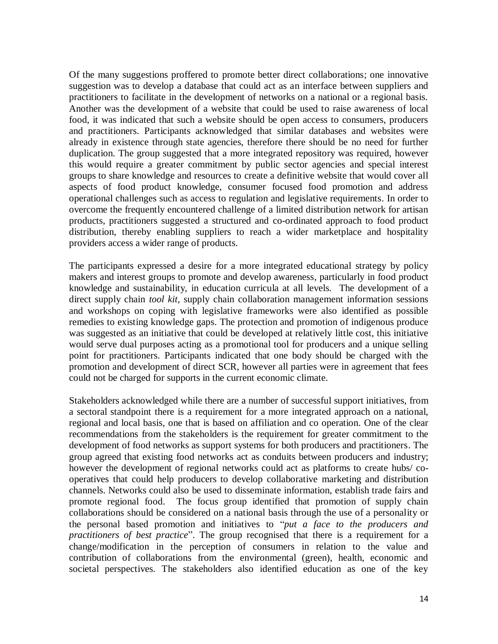Of the many suggestions proffered to promote better direct collaborations; one innovative suggestion was to develop a database that could act as an interface between suppliers and practitioners to facilitate in the development of networks on a national or a regional basis. Another was the development of a website that could be used to raise awareness of local food, it was indicated that such a website should be open access to consumers, producers and practitioners. Participants acknowledged that similar databases and websites were already in existence through state agencies, therefore there should be no need for further duplication. The group suggested that a more integrated repository was required, however this would require a greater commitment by public sector agencies and special interest groups to share knowledge and resources to create a definitive website that would cover all aspects of food product knowledge, consumer focused food promotion and address operational challenges such as access to regulation and legislative requirements. In order to overcome the frequently encountered challenge of a limited distribution network for artisan products, practitioners suggested a structured and co-ordinated approach to food product distribution, thereby enabling suppliers to reach a wider marketplace and hospitality providers access a wider range of products.

The participants expressed a desire for a more integrated educational strategy by policy makers and interest groups to promote and develop awareness, particularly in food product knowledge and sustainability, in education curricula at all levels. The development of a direct supply chain *tool kit*, supply chain collaboration management information sessions and workshops on coping with legislative frameworks were also identified as possible remedies to existing knowledge gaps. The protection and promotion of indigenous produce was suggested as an initiative that could be developed at relatively little cost, this initiative would serve dual purposes acting as a promotional tool for producers and a unique selling point for practitioners. Participants indicated that one body should be charged with the promotion and development of direct SCR, however all parties were in agreement that fees could not be charged for supports in the current economic climate.

Stakeholders acknowledged while there are a number of successful support initiatives, from a sectoral standpoint there is a requirement for a more integrated approach on a national, regional and local basis, one that is based on affiliation and co operation. One of the clear recommendations from the stakeholders is the requirement for greater commitment to the development of food networks as support systems for both producers and practitioners. The group agreed that existing food networks act as conduits between producers and industry; however the development of regional networks could act as platforms to create hubs/ cooperatives that could help producers to develop collaborative marketing and distribution channels. Networks could also be used to disseminate information, establish trade fairs and promote regional food. The focus group identified that promotion of supply chain collaborations should be considered on a national basis through the use of a personality or the personal based promotion and initiatives to "*put a face to the producers and practitioners of best practice*". The group recognised that there is a requirement for a change/modification in the perception of consumers in relation to the value and contribution of collaborations from the environmental (green), health, economic and societal perspectives. The stakeholders also identified education as one of the key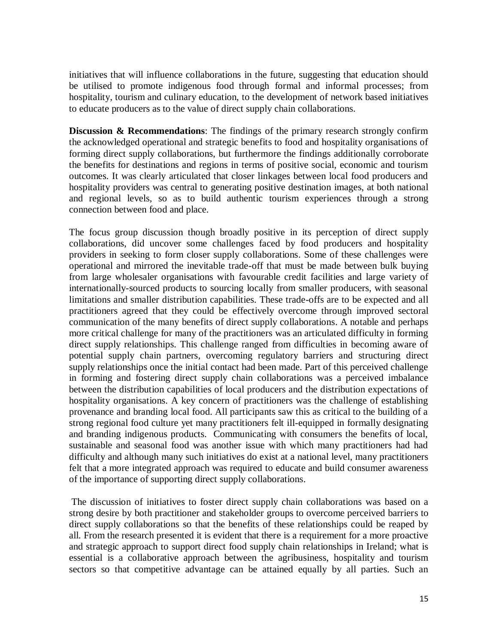initiatives that will influence collaborations in the future, suggesting that education should be utilised to promote indigenous food through formal and informal processes; from hospitality, tourism and culinary education, to the development of network based initiatives to educate producers as to the value of direct supply chain collaborations.

**Discussion & Recommendations**: The findings of the primary research strongly confirm the acknowledged operational and strategic benefits to food and hospitality organisations of forming direct supply collaborations, but furthermore the findings additionally corroborate the benefits for destinations and regions in terms of positive social, economic and tourism outcomes. It was clearly articulated that closer linkages between local food producers and hospitality providers was central to generating positive destination images, at both national and regional levels, so as to build authentic tourism experiences through a strong connection between food and place.

The focus group discussion though broadly positive in its perception of direct supply collaborations, did uncover some challenges faced by food producers and hospitality providers in seeking to form closer supply collaborations. Some of these challenges were operational and mirrored the inevitable trade-off that must be made between bulk buying from large wholesaler organisations with favourable credit facilities and large variety of internationally-sourced products to sourcing locally from smaller producers, with seasonal limitations and smaller distribution capabilities. These trade-offs are to be expected and all practitioners agreed that they could be effectively overcome through improved sectoral communication of the many benefits of direct supply collaborations. A notable and perhaps more critical challenge for many of the practitioners was an articulated difficulty in forming direct supply relationships. This challenge ranged from difficulties in becoming aware of potential supply chain partners, overcoming regulatory barriers and structuring direct supply relationships once the initial contact had been made. Part of this perceived challenge in forming and fostering direct supply chain collaborations was a perceived imbalance between the distribution capabilities of local producers and the distribution expectations of hospitality organisations. A key concern of practitioners was the challenge of establishing provenance and branding local food. All participants saw this as critical to the building of a strong regional food culture yet many practitioners felt ill-equipped in formally designating and branding indigenous products. Communicating with consumers the benefits of local, sustainable and seasonal food was another issue with which many practitioners had had difficulty and although many such initiatives do exist at a national level, many practitioners felt that a more integrated approach was required to educate and build consumer awareness of the importance of supporting direct supply collaborations.

The discussion of initiatives to foster direct supply chain collaborations was based on a strong desire by both practitioner and stakeholder groups to overcome perceived barriers to direct supply collaborations so that the benefits of these relationships could be reaped by all. From the research presented it is evident that there is a requirement for a more proactive and strategic approach to support direct food supply chain relationships in Ireland; what is essential is a collaborative approach between the agribusiness, hospitality and tourism sectors so that competitive advantage can be attained equally by all parties. Such an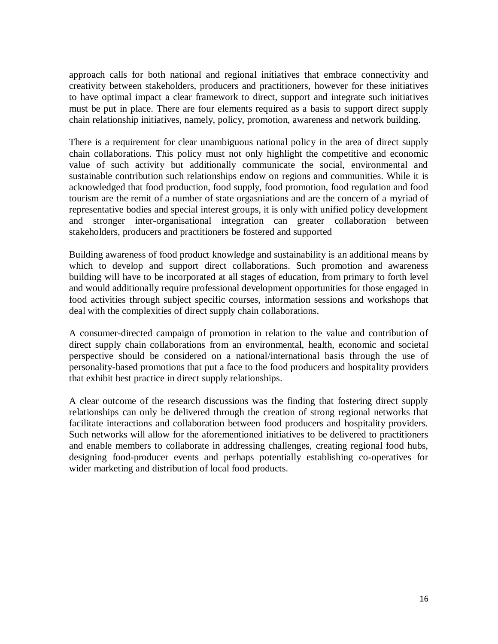approach calls for both national and regional initiatives that embrace connectivity and creativity between stakeholders, producers and practitioners, however for these initiatives to have optimal impact a clear framework to direct, support and integrate such initiatives must be put in place. There are four elements required as a basis to support direct supply chain relationship initiatives, namely, policy, promotion, awareness and network building.

There is a requirement for clear unambiguous national policy in the area of direct supply chain collaborations. This policy must not only highlight the competitive and economic value of such activity but additionally communicate the social, environmental and sustainable contribution such relationships endow on regions and communities. While it is acknowledged that food production, food supply, food promotion, food regulation and food tourism are the remit of a number of state orgasniations and are the concern of a myriad of representative bodies and special interest groups, it is only with unified policy development and stronger inter-organisational integration can greater collaboration between stakeholders, producers and practitioners be fostered and supported

Building awareness of food product knowledge and sustainability is an additional means by which to develop and support direct collaborations. Such promotion and awareness building will have to be incorporated at all stages of education, from primary to forth level and would additionally require professional development opportunities for those engaged in food activities through subject specific courses, information sessions and workshops that deal with the complexities of direct supply chain collaborations.

A consumer-directed campaign of promotion in relation to the value and contribution of direct supply chain collaborations from an environmental, health, economic and societal perspective should be considered on a national/international basis through the use of personality-based promotions that put a face to the food producers and hospitality providers that exhibit best practice in direct supply relationships.

A clear outcome of the research discussions was the finding that fostering direct supply relationships can only be delivered through the creation of strong regional networks that facilitate interactions and collaboration between food producers and hospitality providers. Such networks will allow for the aforementioned initiatives to be delivered to practitioners and enable members to collaborate in addressing challenges, creating regional food hubs, designing food-producer events and perhaps potentially establishing co-operatives for wider marketing and distribution of local food products.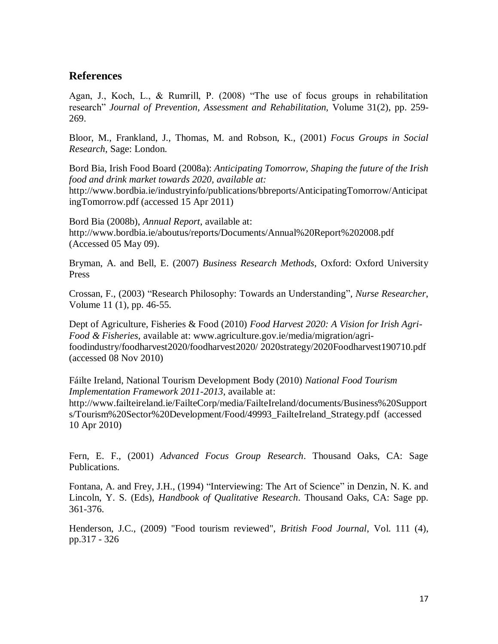# **References**

Agan, J., Koch, L., & Rumrill, P. (2008) "The use of focus groups in rehabilitation research" *Journal of Prevention, Assessment and Rehabilitation,* Volume 31(2), pp. 259- 269.

Bloor, M., Frankland, J., Thomas, M. and Robson, K., (2001) *Focus Groups in Social Research*, Sage: London.

Bord Bia, Irish Food Board (2008a): *Anticipating Tomorrow, Shaping the future of the Irish food and drink market towards 2020, available at:*

http://www.bordbia.ie/industryinfo/publications/bbreports/AnticipatingTomorrow/Anticipat ingTomorrow.pdf (accessed 15 Apr 2011)

Bord Bia (2008b), *Annual Report*, available at: http://www.bordbia.ie/aboutus/reports/Documents/Annual%20Report%202008.pdf (Accessed 05 May 09).

Bryman, A. and Bell, E. (2007) *Business Research Methods*, Oxford: Oxford University Press

Crossan, F., (2003) "Research Philosophy: Towards an Understanding"*, Nurse Researcher*, Volume 11 (1), pp. 46-55.

Dept of Agriculture, Fisheries & Food (2010) *Food Harvest 2020: A Vision for Irish Agri-Food & Fisheries,* available at: www.agriculture.gov.ie/media/migration/agrifoodindustry/foodharvest2020/foodharvest2020/ 2020strategy/2020Foodharvest190710.pdf (accessed 08 Nov 2010)

Fáilte Ireland, National Tourism Development Body (2010) *National Food Tourism Implementation Framework 2011-2013*, available at: http://www.failteireland.ie/FailteCorp/media/FailteIreland/documents/Business%20Support s/Tourism%20Sector%20Development/Food/49993\_FailteIreland\_Strategy.pdf (accessed 10 Apr 2010)

Fern, E. F., (2001) *Advanced Focus Group Research*. Thousand Oaks, CA: Sage Publications.

Fontana, A. and Frey, J.H., (1994) "Interviewing: The Art of Science" in Denzin, N. K. and Lincoln, Y. S. (Eds), *Handbook of Qualitative Research*. Thousand Oaks, CA: Sage pp. 361-376.

Henderson, J.C., (2009) "Food tourism reviewed", *British Food Journal*, Vol. 111 (4), pp.317 - 326